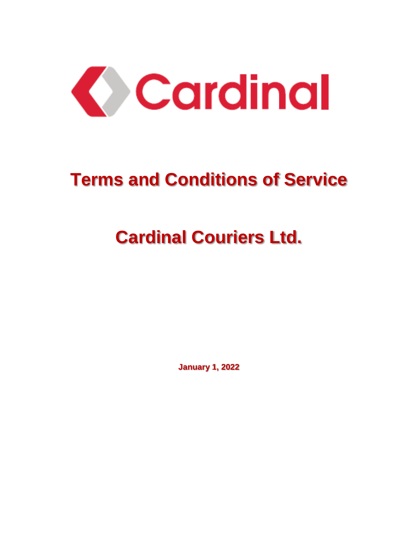

# **Terms and Conditions of Service**

# **Cardinal Couriers Ltd.**

**January 1, 2022**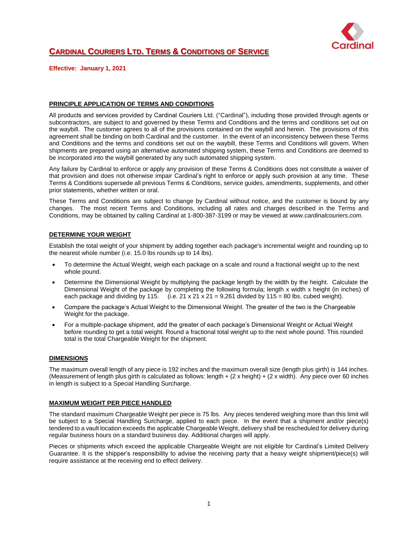

### **CARDINAL COURIERS LTD. TERMS & CONDITIONS OF SERVICE**

**Effective: January 1, 2021**

#### **PRINCIPLE APPLICATION OF TERMS AND CONDITIONS**

All products and services provided by Cardinal Couriers Ltd. ("Cardinal"), including those provided through agents or subcontractors, are subject to and governed by these Terms and Conditions and the terms and conditions set out on the waybill. The customer agrees to all of the provisions contained on the waybill and herein. The provisions of this agreement shall be binding on both Cardinal and the customer. In the event of an inconsistency between these Terms and Conditions and the terms and conditions set out on the waybill, these Terms and Conditions will govern. When shipments are prepared using an alternative automated shipping system, these Terms and Conditions are deemed to be incorporated into the waybill generated by any such automated shipping system.

Any failure by Cardinal to enforce or apply any provision of these Terms & Conditions does not constitute a waiver of that provision and does not otherwise impair Cardinal's right to enforce or apply such provision at any time. These Terms & Conditions supersede all previous Terms & Conditions, service guides, amendments, supplements, and other prior statements, whether written or oral.

These Terms and Conditions are subject to change by Cardinal without notice, and the customer is bound by any changes. The most recent Terms and Conditions, including all rates and charges described in the Terms and Conditions, may be obtained by calling Cardinal at 1-800-387-3199 or may be viewed at *www.cardinalcouriers.com*.

#### **DETERMINE YOUR WEIGHT**

Establish the total weight of your shipment by adding together each package's incremental weight and rounding up to the nearest whole number (i.e. 15.0 lbs rounds up to 14 lbs).

- To determine the Actual Weight, weigh each package on a scale and round a fractional weight up to the next whole pound.
- Determine the Dimensional Weight by multiplying the package length by the width by the height. Calculate the Dimensional Weight of the package by completing the following formula; length x width x height (in inches) of each package and dividing by 115. (i.e.  $21 \times 21 \times 21 = 9,261$  divided by 115 = 80 lbs. cubed weight).
- Compare the package's Actual Weight to the Dimensional Weight. The greater of the two is the Chargeable Weight for the package.
- For a multiple-package shipment, add the greater of each package's Dimensional Weight or Actual Weight before rounding to get a total weight. Round a fractional total weight up to the next whole pound. This rounded total is the total Chargeable Weight for the shipment.

#### **DIMENSIONS**

The maximum overall length of any piece is 192 inches and the maximum overall size (length plus girth) is 144 inches. (Measurement of length plus girth is calculated as follows: length  $+ (2 \times \text{height}) + (2 \times \text{width})$ . Any piece over 60 inches in length is subject to a Special Handling Surcharge.

#### **MAXIMUM WEIGHT PER PIECE HANDLED**

The standard maximum Chargeable Weight per piece is 75 lbs. Any pieces tendered weighing more than this limit will be subject to a Special Handling Surcharge, applied to each piece. In the event that a shipment and/or piece(s) tendered to a vault location exceeds the applicable Chargeable Weight, delivery shall be rescheduled for delivery during regular business hours on a standard business day. Additional charges will apply.

Pieces or shipments which exceed the applicable Chargeable Weight are not eligible for Cardinal's Limited Delivery Guarantee. It is the shipper's responsibility to advise the receiving party that a heavy weight shipment/piece(s) will require assistance at the receiving end to effect delivery.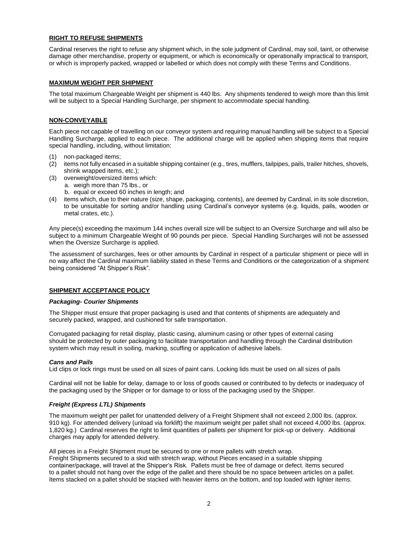#### **RIGHT TO REFUSE SHIPMENTS**

Cardinal reserves the right to refuse any shipment which, in the sole judgment of Cardinal, may soil, taint, or otherwise damage other merchandise, property or equipment, or which is economically or operationally impractical to transport, or which is improperly packed, wrapped or labelled or which does not comply with these Terms and Conditions.

#### **MAXIMUM WEIGHT PER SHIPMENT**

The total maximum Chargeable Weight per shipment is 440 lbs. Any shipments tendered to weigh more than this limit will be subject to a Special Handling Surcharge, per shipment to accommodate special handling.

#### **NON-CONVEYABLE**

Each piece not capable of travelling on our conveyor system and requiring manual handling will be subject to a Special Handling Surcharge, applied to each piece. The additional charge will be applied when shipping items that require special handling, including, without limitation:

- (1) non-packaged items;
- (2) items not fully encased in a suitable shipping container (e.g., tires, mufflers, tailpipes, pails, trailer hitches, shovels, shrink wrapped items, etc.);
- (3) overweight/oversized items which:
- a. weigh more than 75 lbs., or b. equal or exceed 60 inches in length; and
- (4) items which, due to their nature (size, shape, packaging, contents), are deemed by Cardinal, in its sole discretion, to be unsuitable for sorting and/or handling using Cardinal's conveyor systems (e.g. liquids, pails, wooden or metal crates, etc.).

Any piece(s) exceeding the maximum 144 inches overall size will be subject to an Oversize Surcharge and will also be subject to a minimum Chargeable Weight of 90 pounds per piece. Special Handling Surcharges will not be assessed when the Oversize Surcharge is applied.

The assessment of surcharges, fees or other amounts by Cardinal in respect of a particular shipment or piece will in no way affect the Cardinal maximum liability stated in these Terms and Conditions or the categorization of a shipment being considered "At Shipper's Risk".

#### **SHIPMENT ACCEPTANCE POLICY**

#### *Packaging- Courier Shipments*

The Shipper must ensure that proper packaging is used and that contents of shipments are adequately and securely packed, wrapped, and cushioned for safe transportation.

Corrugated packaging for retail display, plastic casing, aluminum casing or other types of external casing should be protected by outer packaging to facilitate transportation and handling through the Cardinal distribution system which may result in soiling, marking, scuffing or application of adhesive labels.

#### *Cans and Pails*

Lid clips or lock rings must be used on all sizes of paint cans. Locking lids must be used on all sizes of pails

Cardinal will not be liable for delay, damage to or loss of goods caused or contributed to by defects or inadequacy of the packaging used by the Shipper or for damage to or loss of the packaging used by the Shipper.

#### *Freight (Express LTL) Shipments*

The maximum weight per pallet for unattended delivery of a Freight Shipment shall not exceed 2,000 lbs. (approx. 910 kg). For attended delivery (unload via forklift) the maximum weight per pallet shall not exceed 4,000 lbs. (approx. 1,820 kg.) Cardinal reserves the right to limit quantities of pallets per shipment for pick-up or delivery. Additional charges may apply for attended delivery.

All pieces in a Freight Shipment must be secured to one or more pallets with stretch wrap. Freight Shipments secured to a skid with stretch wrap, without Pieces encased in a suitable shipping container/package, will travel at the Shipper's Risk. Pallets must be free of damage or defect. Items secured to a pallet should not hang over the edge of the pallet and there should be no space between articles on a pallet. Items stacked on a pallet should be stacked with heavier items on the bottom, and top loaded with lighter items.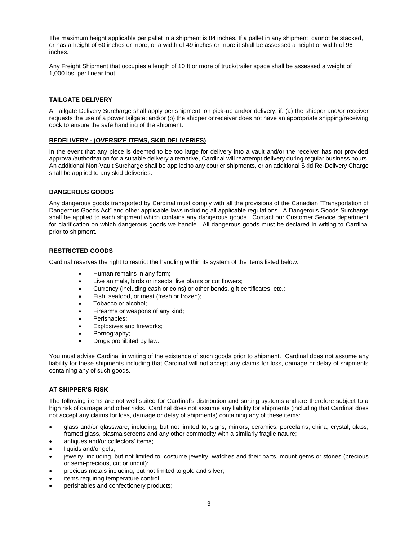The maximum height applicable per pallet in a shipment is 84 inches. If a pallet in any shipment cannot be stacked, or has a height of 60 inches or more, or a width of 49 inches or more it shall be assessed a height or width of 96 inches.

Any Freight Shipment that occupies a length of 10 ft or more of truck/trailer space shall be assessed a weight of 1,000 lbs. per linear foot.

#### **TAILGATE DELIVERY**

A Tailgate Delivery Surcharge shall apply per shipment, on pick-up and/or delivery, if: (a) the shipper and/or receiver requests the use of a power tailgate; and/or (b) the shipper or receiver does not have an appropriate shipping/receiving dock to ensure the safe handling of the shipment.

#### **REDELIVERY - (OVERSIZE ITEMS, SKID DELIVERIES)**

In the event that any piece is deemed to be too large for delivery into a vault and/or the receiver has not provided approval/authorization for a suitable delivery alternative, Cardinal will reattempt delivery during regular business hours. An additional Non-Vault Surcharge shall be applied to any courier shipments, or an additional Skid Re-Delivery Charge shall be applied to any skid deliveries.

#### **DANGEROUS GOODS**

Any dangerous goods transported by Cardinal must comply with all the provisions of the Canadian "Transportation of Dangerous Goods Act" and other applicable laws including all applicable regulations. A Dangerous Goods Surcharge shall be applied to each shipment which contains any dangerous goods. Contact our Customer Service department for clarification on which dangerous goods we handle. All dangerous goods must be declared in writing to Cardinal prior to shipment.

#### **RESTRICTED GOODS**

Cardinal reserves the right to restrict the handling within its system of the items listed below:

- Human remains in any form;
- Live animals, birds or insects, live plants or cut flowers;
- Currency (including cash or coins) or other bonds, gift certificates, etc.;
- Fish, seafood, or meat (fresh or frozen);
- Tobacco or alcohol;
- Firearms or weapons of any kind;
- Perishables;
- Explosives and fireworks;
- Pornography;
- Drugs prohibited by law.

You must advise Cardinal in writing of the existence of such goods prior to shipment. Cardinal does not assume any liability for these shipments including that Cardinal will not accept any claims for loss, damage or delay of shipments containing any of such goods.

#### **AT SHIPPER'S RISK**

The following items are not well suited for Cardinal's distribution and sorting systems and are therefore subject to a high risk of damage and other risks. Cardinal does not assume any liability for shipments (including that Cardinal does not accept any claims for loss, damage or delay of shipments) containing any of these items:

- glass and/or glassware, including, but not limited to, signs, mirrors, ceramics, porcelains, china, crystal, glass, framed glass, plasma screens and any other commodity with a similarly fragile nature;
- antiques and/or collectors' items;
- liquids and/or gels;
- jewelry, including, but not limited to, costume jewelry, watches and their parts, mount gems or stones (precious or semi-precious, cut or uncut):
- precious metals including, but not limited to gold and silver;
- items requiring temperature control;
- perishables and confectionery products;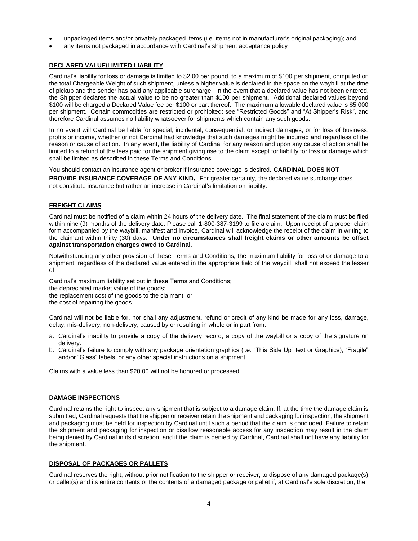- unpackaged items and/or privately packaged items (i.e. items not in manufacturer's original packaging); and
- any items not packaged in accordance with Cardinal's shipment acceptance policy

#### **DECLARED VALUE/LIMITED LIABILITY**

Cardinal's liability for loss or damage is limited to \$2.00 per pound, to a maximum of \$100 per shipment, computed on the total Chargeable Weight of such shipment, unless a higher value is declared in the space on the waybill at the time of pickup and the sender has paid any applicable surcharge. In the event that a declared value has not been entered, the Shipper declares the actual value to be no greater than \$100 per shipment. Additional declared values beyond \$100 will be charged a Declared Value fee per \$100 or part thereof. The maximum allowable declared value is \$5,000 per shipment. Certain commodities are restricted or prohibited: see "Restricted Goods" and "At Shipper's Risk", and therefore Cardinal assumes no liability whatsoever for shipments which contain any such goods.

In no event will Cardinal be liable for special, incidental, consequential, or indirect damages, or for loss of business, profits or income, whether or not Cardinal had knowledge that such damages might be incurred and regardless of the reason or cause of action. In any event, the liability of Cardinal for any reason and upon any cause of action shall be limited to a refund of the fees paid for the shipment giving rise to the claim except for liability for loss or damage which shall be limited as described in these Terms and Conditions.

You should contact an insurance agent or broker if insurance coverage is desired. **CARDINAL DOES NOT** 

**PROVIDE INSURANCE COVERAGE OF ANY KIND.** For greater certainty, the declared value surcharge does not constitute insurance but rather an increase in Cardinal's limitation on liability.

#### **FREIGHT CLAIMS**

Cardinal must be notified of a claim within 24 hours of the delivery date. The final statement of the claim must be filed within nine (9) months of the delivery date. Please call 1-800-387-3199 to file a claim. Upon receipt of a proper claim form accompanied by the waybill, manifest and invoice, Cardinal will acknowledge the receipt of the claim in writing to the claimant within thirty (30) days. **Under no circumstances shall freight claims or other amounts be offset against transportation charges owed to Cardinal**.

Notwithstanding any other provision of these Terms and Conditions, the maximum liability for loss of or damage to a shipment, regardless of the declared value entered in the appropriate field of the waybill, shall not exceed the lesser of:

Cardinal's maximum liability set out in these Terms and Conditions; the depreciated market value of the goods; the replacement cost of the goods to the claimant; or the cost of repairing the goods.

Cardinal will not be liable for, nor shall any adjustment, refund or credit of any kind be made for any loss, damage, delay, mis-delivery, non-delivery, caused by or resulting in whole or in part from:

- a. Cardinal's inability to provide a copy of the delivery record, a copy of the waybill or a copy of the signature on delivery.
- b. Cardinal's failure to comply with any package orientation graphics (i.e. "This Side Up" text or Graphics), "Fragile" and/or "Glass" labels, or any other special instructions on a shipment.

Claims with a value less than \$20.00 will not be honored or processed.

#### **DAMAGE INSPECTIONS**

Cardinal retains the right to inspect any shipment that is subject to a damage claim. If, at the time the damage claim is submitted, Cardinal requests that the shipper or receiver retain the shipment and packaging for inspection, the shipment and packaging must be held for inspection by Cardinal until such a period that the claim is concluded. Failure to retain the shipment and packaging for inspection or disallow reasonable access for any inspection may result in the claim being denied by Cardinal in its discretion, and if the claim is denied by Cardinal, Cardinal shall not have any liability for the shipment.

#### **DISPOSAL OF PACKAGES OR PALLETS**

Cardinal reserves the right, without prior notification to the shipper or receiver, to dispose of any damaged package(s) or pallet(s) and its entire contents or the contents of a damaged package or pallet if, at Cardinal's sole discretion, the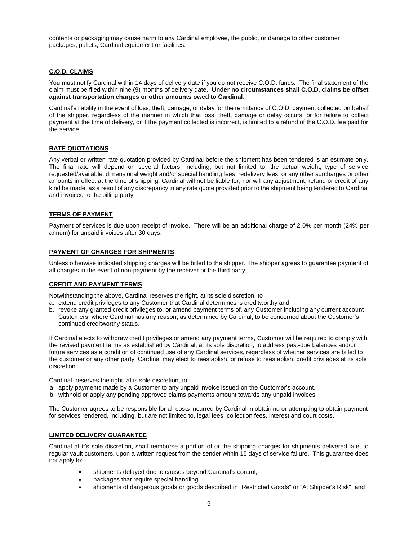contents or packaging may cause harm to any Cardinal employee, the public, or damage to other customer packages, pallets, Cardinal equipment or facilities.

#### **C.O.D. CLAIMS**

You must notify Cardinal within 14 days of delivery date if you do not receive C.O.D. funds. The final statement of the claim must be filed within nine (9) months of delivery date. **Under no circumstances shall C.O.D. claims be offset against transportation charges or other amounts owed to Cardinal**.

Cardinal's liability in the event of loss, theft, damage, or delay for the remittance of C.O.D. payment collected on behalf of the shipper, regardless of the manner in which that loss, theft, damage or delay occurs, or for failure to collect payment at the time of delivery, or if the payment collected is incorrect, is limited to a refund of the C.O.D. fee paid for the service.

#### **RATE QUOTATIONS**

Any verbal or written rate quotation provided by Cardinal before the shipment has been tendered is an estimate only. The final rate will depend on several factors, including, but not limited to, the actual weight, type of service requested/available, dimensional weight and/or special handling fees, redelivery fees, or any other surcharges or other amounts in effect at the time of shipping. Cardinal will not be liable for, nor will any adjustment, refund or credit of any kind be made, as a result of any discrepancy in any rate quote provided prior to the shipment being tendered to Cardinal and invoiced to the billing party.

#### **TERMS OF PAYMENT**

Payment of services is due upon receipt of invoice. There will be an additional charge of 2.0% per month (24% per annum) for unpaid invoices after 30 days.

#### **PAYMENT OF CHARGES FOR SHIPMENTS**

Unless otherwise indicated shipping charges will be billed to the shipper. The shipper agrees to guarantee payment of all charges in the event of non-payment by the receiver or the third party.

#### **CREDIT AND PAYMENT TERMS**

Notwithstanding the above, Cardinal reserves the right, at its sole discretion, to

- a. extend credit privileges to any Customer that Cardinal determines is creditworthy and
- b. revoke any granted credit privileges to, or amend payment terms of, any Customer including any current account Customers, where Cardinal has any reason, as determined by Cardinal, to be concerned about the Customer's continued creditworthy status.

If Cardinal elects to withdraw credit privileges or amend any payment terms, Customer will be required to comply with the revised payment terms as established by Cardinal, at its sole discretion, to address past-due balances and/or future services as a condition of continued use of any Cardinal services, regardless of whether services are billed to the customer or any other party. Cardinal may elect to reestablish, or refuse to reestablish, credit privileges at its sole discretion.

Cardinal reserves the right, at is sole discretion, to:

- a. apply payments made by a Customer to any unpaid invoice issued on the Customer's account.
- b. withhold or apply any pending approved claims payments amount towards any unpaid invoices

The Customer agrees to be responsible for all costs incurred by Cardinal in obtaining or attempting to obtain payment for services rendered, including, but are not limited to, legal fees, collection fees, interest and court costs.

#### **LIMITED DELIVERY GUARANTEE**

Cardinal at it's sole discretion, shall reimburse a portion of or the shipping charges for shipments delivered late, to regular vault customers, upon a written request from the sender within 15 days of service failure. This guarantee does not apply to:

- shipments delayed due to causes beyond Cardinal's control;
- packages that require special handling;
- shipments of dangerous goods or goods described in "Restricted Goods" or "At Shipper's Risk"; and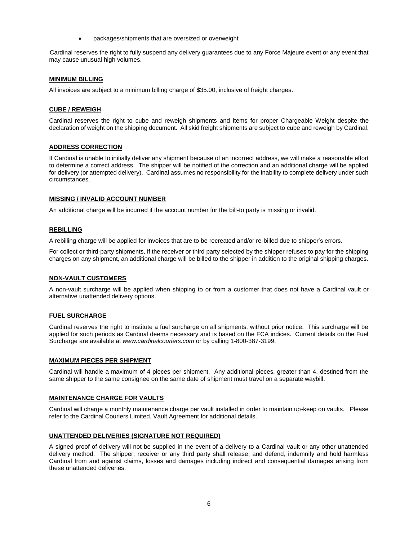• packages/shipments that are oversized or overweight

Cardinal reserves the right to fully suspend any delivery guarantees due to any Force Majeure event or any event that may cause unusual high volumes.

#### **MINIMUM BILLING**

All invoices are subject to a minimum billing charge of \$35.00, inclusive of freight charges.

#### **CUBE / REWEIGH**

Cardinal reserves the right to cube and reweigh shipments and items for proper Chargeable Weight despite the declaration of weight on the shipping document. All skid freight shipments are subject to cube and reweigh by Cardinal.

#### **ADDRESS CORRECTION**

If Cardinal is unable to initially deliver any shipment because of an incorrect address, we will make a reasonable effort to determine a correct address. The shipper will be notified of the correction and an additional charge will be applied for delivery (or attempted delivery). Cardinal assumes no responsibility for the inability to complete delivery under such circumstances.

#### **MISSING / INVALID ACCOUNT NUMBER**

An additional charge will be incurred if the account number for the bill-to party is missing or invalid.

#### **REBILLING**

A rebilling charge will be applied for invoices that are to be recreated and/or re-billed due to shipper's errors.

For collect or third-party shipments, if the receiver or third party selected by the shipper refuses to pay for the shipping charges on any shipment, an additional charge will be billed to the shipper in addition to the original shipping charges.

#### **NON-VAULT CUSTOMERS**

A non-vault surcharge will be applied when shipping to or from a customer that does not have a Cardinal vault or alternative unattended delivery options.

#### **FUEL SURCHARGE**

Cardinal reserves the right to institute a fuel surcharge on all shipments, without prior notice. This surcharge will be applied for such periods as Cardinal deems necessary and is based on the FCA indices. Current details on the Fuel Surcharge are available at *www.cardinalcouriers.com* or by calling 1-800-387-3199.

#### **MAXIMUM PIECES PER SHIPMENT**

Cardinal will handle a maximum of 4 pieces per shipment. Any additional pieces, greater than 4, destined from the same shipper to the same consignee on the same date of shipment must travel on a separate waybill.

#### **MAINTENANCE CHARGE FOR VAULTS**

Cardinal will charge a monthly maintenance charge per vault installed in order to maintain up-keep on vaults. Please refer to the Cardinal Couriers Limited, Vault Agreement for additional details.

#### **UNATTENDED DELIVERIES (SIGNATURE NOT REQUIRED)**

A signed proof of delivery will not be supplied in the event of a delivery to a Cardinal vault or any other unattended delivery method. The shipper, receiver or any third party shall release, and defend, indemnify and hold harmless Cardinal from and against claims, losses and damages including indirect and consequential damages arising from these unattended deliveries.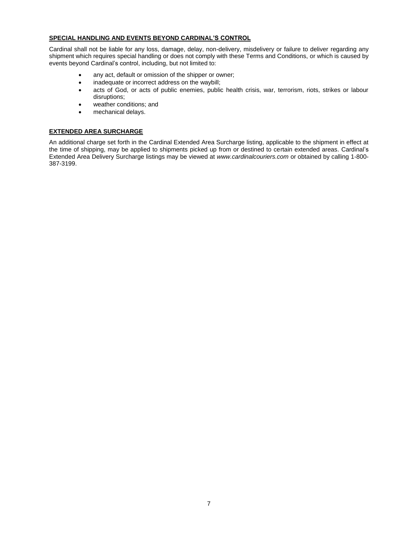#### **SPECIAL HANDLING AND EVENTS BEYOND CARDINAL'S CONTROL**

Cardinal shall not be liable for any loss, damage, delay, non-delivery, misdelivery or failure to deliver regarding any shipment which requires special handling or does not comply with these Terms and Conditions, or which is caused by events beyond Cardinal's control, including, but not limited to:

- any act, default or omission of the shipper or owner;
- inadequate or incorrect address on the waybill;
- acts of God, or acts of public enemies, public health crisis, war, terrorism, riots, strikes or labour disruptions;
- weather conditions; and
- mechanical delays.

#### **EXTENDED AREA SURCHARGE**

An additional charge set forth in the Cardinal Extended Area Surcharge listing, applicable to the shipment in effect at the time of shipping, may be applied to shipments picked up from or destined to certain extended areas. Cardinal's Extended Area Delivery Surcharge listings may be viewed at *www.cardinalcouriers.com* or obtained by calling 1-800- 387-3199.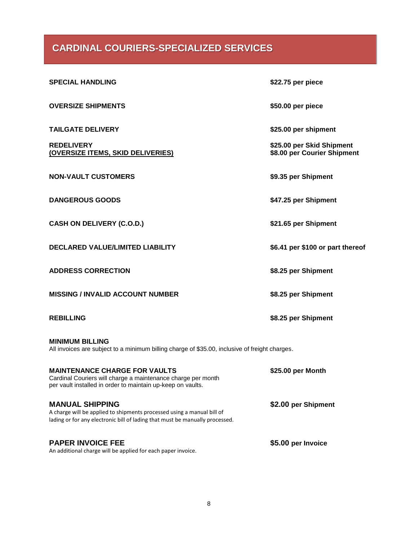## **CARDINAL COURIERS-SPECIALIZED SERVICES**

| <b>SPECIAL HANDLING</b>                                                                                                                                                          | \$22.75 per piece                                        |
|----------------------------------------------------------------------------------------------------------------------------------------------------------------------------------|----------------------------------------------------------|
| <b>OVERSIZE SHIPMENTS</b>                                                                                                                                                        | \$50.00 per piece                                        |
| <b>TAILGATE DELIVERY</b>                                                                                                                                                         | \$25.00 per shipment                                     |
| <b>REDELIVERY</b><br>(OVERSIZE ITEMS, SKID DELIVERIES)                                                                                                                           | \$25.00 per Skid Shipment<br>\$8.00 per Courier Shipment |
| <b>NON-VAULT CUSTOMERS</b>                                                                                                                                                       | \$9.35 per Shipment                                      |
| <b>DANGEROUS GOODS</b>                                                                                                                                                           | \$47.25 per Shipment                                     |
| <b>CASH ON DELIVERY (C.O.D.)</b>                                                                                                                                                 | \$21.65 per Shipment                                     |
| <b>DECLARED VALUE/LIMITED LIABILITY</b>                                                                                                                                          | \$6.41 per \$100 or part thereof                         |
| <b>ADDRESS CORRECTION</b>                                                                                                                                                        | \$8.25 per Shipment                                      |
| <b>MISSING / INVALID ACCOUNT NUMBER</b>                                                                                                                                          | \$8.25 per Shipment                                      |
| <b>REBILLING</b>                                                                                                                                                                 | \$8.25 per Shipment                                      |
| <b>MINIMUM BILLING</b><br>All invoices are subject to a minimum billing charge of \$35.00, inclusive of freight charges.                                                         |                                                          |
| <b>MAINTENANCE CHARGE FOR VAULTS</b><br>Cardinal Couriers will charge a maintenance charge per month<br>per vault installed in order to maintain up-keep on vaults.              | \$25.00 per Month                                        |
| <b>MANUAL SHIPPING</b><br>A charge will be applied to shipments processed using a manual bill of<br>lading or for any electronic bill of lading that must be manually processed. | \$2.00 per Shipment                                      |
| <b>PAPER INVOICE FEE</b><br>An additional charge will be applied for each paper invoice.                                                                                         | \$5.00 per Invoice                                       |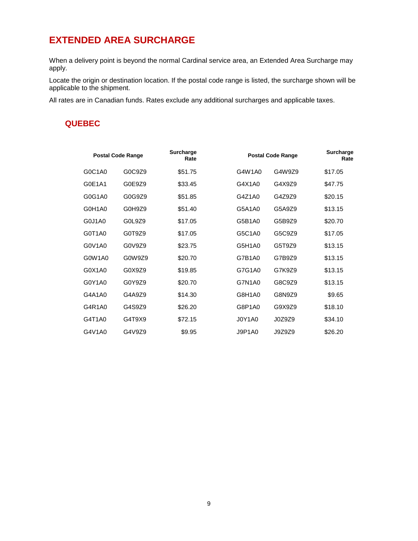# **EXTENDED AREA SURCHARGE**

When a delivery point is beyond the normal Cardinal service area, an Extended Area Surcharge may apply.

Locate the origin or destination location. If the postal code range is listed, the surcharge shown will be applicable to the shipment.

All rates are in Canadian funds. Rates exclude any additional surcharges and applicable taxes.

## **QUEBEC**

| <b>Postal Code Range</b> |        | Surcharge<br>Rate | <b>Postal Code Range</b> |        | <b>Surcharge</b><br>Rate |
|--------------------------|--------|-------------------|--------------------------|--------|--------------------------|
| G0C1A0                   | G0C9Z9 | \$51.75           | G4W1A0                   | G4W9Z9 | \$17.05                  |
| G0E1A1                   | G0E9Z9 | \$33.45           | G4X1A0                   | G4X9Z9 | \$47.75                  |
| G0G1A0                   | G0G9Z9 | \$51.85           | G4Z1A0                   | G4Z9Z9 | \$20.15                  |
| G0H1A0                   | G0H9Z9 | \$51.40           | G5A1A0                   | G5A9Z9 | \$13.15                  |
| G0J1A0                   | G0L9Z9 | \$17.05           | G5B1A0                   | G5B9Z9 | \$20.70                  |
| G0T1A0                   | G0T9Z9 | \$17.05           | G5C1A0                   | G5C9Z9 | \$17.05                  |
| G0V1A0                   | G0V9Z9 | \$23.75           | G5H1A0                   | G5T9Z9 | \$13.15                  |
| G0W1A0                   | G0W9Z9 | \$20.70           | G7B1A0                   | G7B9Z9 | \$13.15                  |
| G0X1A0                   | G0X9Z9 | \$19.85           | G7G1A0                   | G7K9Z9 | \$13.15                  |
| G0Y1A0                   | G0Y9Z9 | \$20.70           | G7N1A0                   | G8C9Z9 | \$13.15                  |
| G4A1A0                   | G4A9Z9 | \$14.30           | G8H1A0                   | G8N9Z9 | \$9.65                   |
| G4R1A0                   | G4S9Z9 | \$26.20           | G8P1A0                   | G9X9Z9 | \$18.10                  |
| G4T1A0                   | G4T9X9 | \$72.15           | J0Y1A0                   | J0Z9Z9 | \$34.10                  |
| G4V1A0                   | G4V9Z9 | \$9.95            | <b>J9P1A0</b>            | J9Z9Z9 | \$26.20                  |